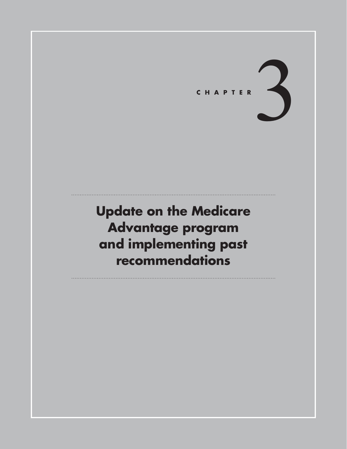# **C h <sup>a</sup> p t er** 3

**Update on the Medicare Advantage program and implementing past recommendations**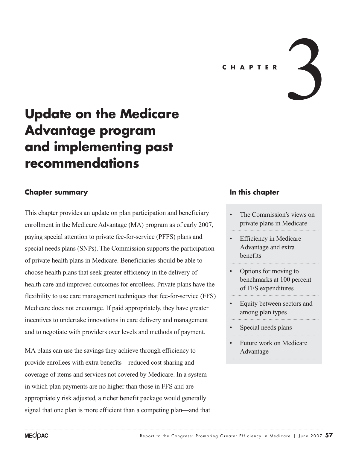# **Update on the Medicare Advantage program and implementing past recommendations**

# **Chapter summary**

This chapter provides an update on plan participation and beneficiary enrollment in the Medicare Advantage (MA) program as of early 2007, paying special attention to private fee-for-service (PFFS) plans and special needs plans (SNPs). The Commission supports the participation of private health plans in Medicare. Beneficiaries should be able to choose health plans that seek greater efficiency in the delivery of health care and improved outcomes for enrollees. Private plans have the flexibility to use care management techniques that fee-for-service (FFS) Medicare does not encourage. If paid appropriately, they have greater incentives to undertake innovations in care delivery and management and to negotiate with providers over levels and methods of payment.

MA plans can use the savings they achieve through efficiency to provide enrollees with extra benefits—reduced cost sharing and coverage of items and services not covered by Medicare. In a system in which plan payments are no higher than those in FFS and are appropriately risk adjusted, a richer benefit package would generally signal that one plan is more efficient than a competing plan—and that

#### **In this chapter**

- The Commission's views on private plans in Medicare
- **Efficiency in Medicare** Advantage and extra benefits
- Options for moving to benchmarks at 100 percent of FFS expenditures
- Equity between sectors and among plan types
- Special needs plans
- Future work on Medicare Advantage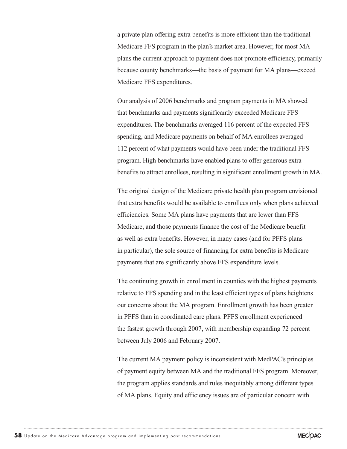a private plan offering extra benefits is more efficient than the traditional Medicare FFS program in the plan's market area. However, for most MA plans the current approach to payment does not promote efficiency, primarily because county benchmarks—the basis of payment for MA plans—exceed Medicare FFS expenditures.

Our analysis of 2006 benchmarks and program payments in MA showed that benchmarks and payments significantly exceeded Medicare FFS expenditures. The benchmarks averaged 116 percent of the expected FFS spending, and Medicare payments on behalf of MA enrollees averaged 112 percent of what payments would have been under the traditional FFS program. High benchmarks have enabled plans to offer generous extra benefits to attract enrollees, resulting in significant enrollment growth in MA.

The original design of the Medicare private health plan program envisioned that extra benefits would be available to enrollees only when plans achieved efficiencies. Some MA plans have payments that are lower than FFS Medicare, and those payments finance the cost of the Medicare benefit as well as extra benefits. However, in many cases (and for PFFS plans in particular), the sole source of financing for extra benefits is Medicare payments that are significantly above FFS expenditure levels.

The continuing growth in enrollment in counties with the highest payments relative to FFS spending and in the least efficient types of plans heightens our concerns about the MA program. Enrollment growth has been greater in PFFS than in coordinated care plans. PFFS enrollment experienced the fastest growth through 2007, with membership expanding 72 percent between July 2006 and February 2007.

The current MA payment policy is inconsistent with MedPAC's principles of payment equity between MA and the traditional FFS program. Moreover, the program applies standards and rules inequitably among different types of MA plans. Equity and efficiency issues are of particular concern with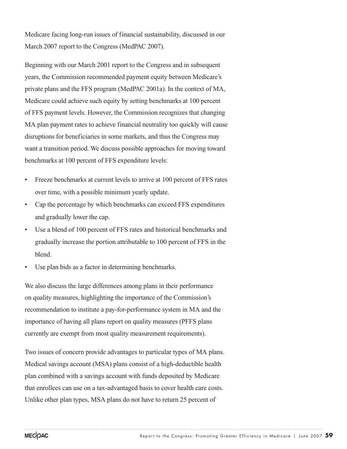Medicare facing long-run issues of financial sustainability, discussed in our March 2007 report to the Congress (MedPAC 2007).

Beginning with our March 2001 report to the Congress and in subsequent years, the Commission recommended payment equity between Medicare's private plans and the FFS program (MedPAC 2001a). In the context of MA, Medicare could achieve such equity by setting benchmarks at 100 percent of FFS payment levels. However, the Commission recognizes that changing MA plan payment rates to achieve financial neutrality too quickly will cause disruptions for beneficiaries in some markets, and thus the Congress may want a transition period. We discuss possible approaches for moving toward benchmarks at 100 percent of FFS expenditure levels:

- Freeze benchmarks at current levels to arrive at 100 percent of FFS rates over time, with a possible minimum yearly update.
- Cap the percentage by which benchmarks can exceed FFS expenditures and gradually lower the cap.
- Use a blend of 100 percent of FFS rates and historical benchmarks and gradually increase the portion attributable to 100 percent of FFS in the blend.
- Use plan bids as a factor in determining benchmarks.

We also discuss the large differences among plans in their performance on quality measures, highlighting the importance of the Commission's recommendation to institute a pay-for-performance system in MA and the importance of having all plans report on quality measures (PFFS plans currently are exempt from most quality measurement requirements).

Two issues of concern provide advantages to particular types of MA plans. Medical savings account (MSA) plans consist of a high-deductible health plan combined with a savings account with funds deposited by Medicare that enrollees can use on a tax-advantaged basis to cover health care costs. Unlike other plan types, MSA plans do not have to return 25 percent of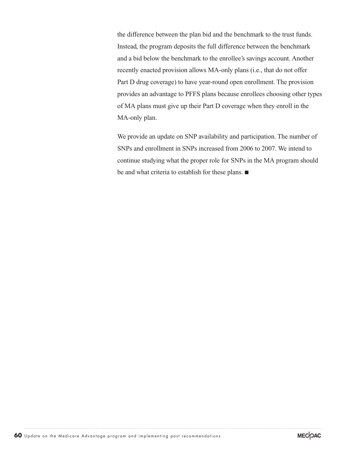the difference between the plan bid and the benchmark to the trust funds. Instead, the program deposits the full difference between the benchmark and a bid below the benchmark to the enrollee's savings account. Another recently enacted provision allows MA-only plans (i.e., that do not offer Part D drug coverage) to have year-round open enrollment. The provision provides an advantage to PFFS plans because enrollees choosing other types of MA plans must give up their Part D coverage when they enroll in the MA-only plan.

We provide an update on SNP availability and participation. The number of SNPs and enrollment in SNPs increased from 2006 to 2007. We intend to continue studying what the proper role for SNPs in the MA program should be and what criteria to establish for these plans.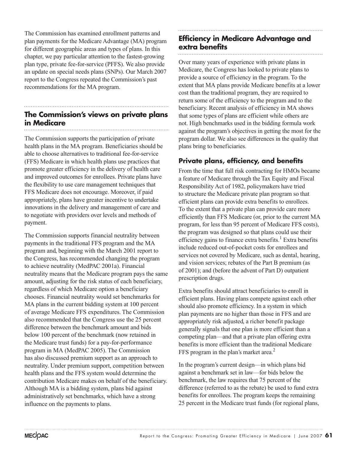The Commission has examined enrollment patterns and plan payments for the Medicare Advantage (MA) program for different geographic areas and types of plans. In this chapter, we pay particular attention to the fastest-growing plan type, private fee-for-service (PFFS). We also provide an update on special needs plans (SNPs). Our March 2007 report to the Congress repeated the Commission's past recommendations for the MA program.

#### **The Commission's views on private plans in Medicare**

The Commission supports the participation of private health plans in the MA program. Beneficiaries should be able to choose alternatives to traditional fee-for-service (FFS) Medicare in which health plans use practices that promote greater efficiency in the delivery of health care and improved outcomes for enrollees. Private plans have the flexibility to use care management techniques that FFS Medicare does not encourage. Moreover, if paid appropriately, plans have greater incentive to undertake innovations in the delivery and management of care and to negotiate with providers over levels and methods of payment.

The Commission supports financial neutrality between payments in the traditional FFS program and the MA program and, beginning with the March 2001 report to the Congress, has recommended changing the program to achieve neutrality (MedPAC 2001a). Financial neutrality means that the Medicare program pays the same amount, adjusting for the risk status of each beneficiary, regardless of which Medicare option a beneficiary chooses. Financial neutrality would set benchmarks for MA plans in the current bidding system at 100 percent of average Medicare FFS expenditures. The Commission also recommended that the Congress use the 25 percent difference between the benchmark amount and bids below 100 percent of the benchmark (now retained in the Medicare trust funds) for a pay-for-performance program in MA (MedPAC 2005). The Commission has also discussed premium support as an approach to neutrality. Under premium support, competition between health plans and the FFS system would determine the contribution Medicare makes on behalf of the beneficiary. Although MA is a bidding system, plans bid against administratively set benchmarks, which have a strong influence on the payments to plans.

# **Efficiency in Medicare Advantage and extra benefits**

Over many years of experience with private plans in Medicare, the Congress has looked to private plans to provide a source of efficiency in the program. To the extent that MA plans provide Medicare benefits at a lower cost than the traditional program, they are required to return some of the efficiency to the program and to the beneficiary. Recent analysis of efficiency in MA shows that some types of plans are efficient while others are not. High benchmarks used in the bidding formula work against the program's objectives in getting the most for the program dollar. We also see differences in the quality that plans bring to beneficiaries.

# **Private plans, efficiency, and benefits**

From the time that full risk contracting for HMOs became a feature of Medicare through the Tax Equity and Fiscal Responsibility Act of 1982, policymakers have tried to structure the Medicare private plan program so that efficient plans can provide extra benefits to enrollees. To the extent that a private plan can provide care more efficiently than FFS Medicare (or, prior to the current MA program, for less than 95 percent of Medicare FFS costs), the program was designed so that plans could use their efficiency gains to finance extra benefits.<sup>1</sup> Extra benefits include reduced out-of-pocket costs for enrollees and services not covered by Medicare, such as dental, hearing, and vision services; rebates of the Part B premium (as of 2001); and (before the advent of Part D) outpatient prescription drugs.

Extra benefits should attract beneficiaries to enroll in efficient plans. Having plans compete against each other should also promote efficiency. In a system in which plan payments are no higher than those in FFS and are appropriately risk adjusted, a richer benefit package generally signals that one plan is more efficient than a competing plan—and that a private plan offering extra benefits is more efficient than the traditional Medicare FFS program in the plan's market area.<sup>2</sup>

In the program's current design—in which plans bid against a benchmark set in law—for bids below the benchmark, the law requires that 75 percent of the difference (referred to as the rebate) be used to fund extra benefits for enrollees. The program keeps the remaining 25 percent in the Medicare trust funds (for regional plans,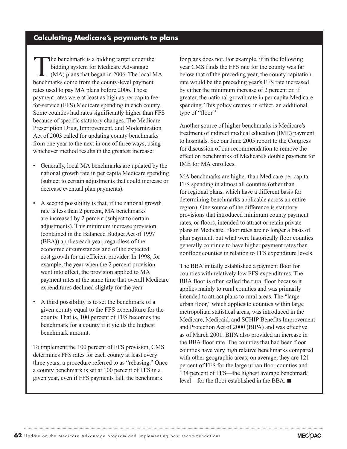# **Calculating Medicare's payments to plans**

The benchmark is a bidding target under the bidding system for Medicare Advantage (MA) plans that began in 2006. The local MA benchmarks come from the county-level payment rates used to pay MA plans before 2006. Those payment rates were at least as high as per capita feefor-service (FFS) Medicare spending in each county. Some counties had rates significantly higher than FFS because of specific statutory changes. The Medicare Prescription Drug, Improvement, and Modernization Act of 2003 called for updating county benchmarks from one year to the next in one of three ways, using whichever method results in the greatest increase:

- Generally, local MA benchmarks are updated by the national growth rate in per capita Medicare spending (subject to certain adjustments that could increase or decrease eventual plan payments).
- A second possibility is that, if the national growth rate is less than 2 percent, MA benchmarks are increased by 2 percent (subject to certain adjustments). This minimum increase provision (contained in the Balanced Budget Act of 1997 (BBA)) applies each year, regardless of the economic circumstances and of the expected cost growth for an efficient provider. In 1998, for example, the year when the 2 percent provision went into effect, the provision applied to MA payment rates at the same time that overall Medicare expenditures declined slightly for the year.
- A third possibility is to set the benchmark of a given county equal to the FFS expenditure for the county. That is, 100 percent of FFS becomes the benchmark for a county if it yields the highest benchmark amount.

To implement the 100 percent of FFS provision, CMS determines FFS rates for each county at least every three years, a procedure referred to as "rebasing." Once a county benchmark is set at 100 percent of FFS in a given year, even if FFS payments fall, the benchmark

for plans does not. For example, if in the following year CMS finds the FFS rate for the county was far below that of the preceding year, the county capitation rate would be the preceding year's FFS rate increased by either the minimum increase of 2 percent or, if greater, the national growth rate in per capita Medicare spending. This policy creates, in effect, an additional type of "floor."

Another source of higher benchmarks is Medicare's treatment of indirect medical education (IME) payment to hospitals. See our June 2005 report to the Congress for discussion of our recommendation to remove the effect on benchmarks of Medicare's double payment for IME for MA enrollees.

MA benchmarks are higher than Medicare per capita FFS spending in almost all counties (other than for regional plans, which have a different basis for determining benchmarks applicable across an entire region). One source of the difference is statutory provisions that introduced minimum county payment rates, or floors, intended to attract or retain private plans in Medicare. Floor rates are no longer a basis of plan payment, but what were historically floor counties generally continue to have higher payment rates than nonfloor counties in relation to FFS expenditure levels.

The BBA initially established a payment floor for counties with relatively low FFS expenditures. The BBA floor is often called the rural floor because it applies mainly to rural counties and was primarily intended to attract plans to rural areas. The "large urban floor," which applies to counties within large metropolitan statistical areas, was introduced in the Medicare, Medicaid, and SCHIP Benefits Improvement and Protection Act of 2000 (BIPA) and was effective as of March 2001. BIPA also provided an increase in the BBA floor rate. The counties that had been floor counties have very high relative benchmarks compared with other geographic areas; on average, they are 121 percent of FFS for the large urban floor counties and 134 percent of FFS—the highest average benchmark level—for the floor established in the BBA.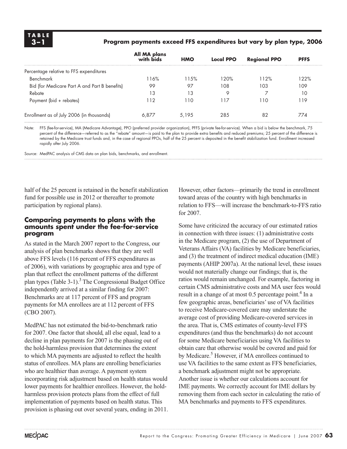#### **3 –1 Program payments exceed FFS expenditures but vary by plan type, 2006**

|                                               | All MA plans<br>with bids | <b>HMO</b> | <b>Local PPO</b> | <b>Regional PPO</b> | <b>PFFS</b> |
|-----------------------------------------------|---------------------------|------------|------------------|---------------------|-------------|
| Percentage relative to FFS expenditures       |                           |            |                  |                     |             |
| Benchmark                                     | 116%                      | 11.5%      | 120%             | 112%                | 122%        |
| Bid (for Medicare Part A and Part B benefits) | 99                        | 97         | 108              | 103                 | 109         |
| Rebate                                        | 13                        | 13         | Q                |                     | 10          |
| Payment (bid + rebates)                       | 112                       | 110        | 117              | 110                 | 119         |
| Enrollment as of July 2006 (in thousands)     | 6.877                     | 5.195      | 28.5             | 82                  | 774         |

Note: FFS (fee-for-service), MA (Medicare Advantage), PPO (preferred provider organization), PFFS (private fee-for-service). When a bid is below the benchmark, 75 percent of the difference—referred to as the "rebate" amount—is paid to the plan to provide extra benefits and reduced premiums; 25 percent of the difference is retained by the Medicare trust funds and, in the case of regional PPOs, half of the 25 percent is deposited in the benefit stabilization fund. Enrollment increased rapidly after July 2006.

Source: MedPAC analysis of CMS data on plan bids, benchmarks, and enrollment.

half of the 25 percent is retained in the benefit stabilization fund for possible use in 2012 or thereafter to promote participation by regional plans).

#### **Comparing payments to plans with the amounts spent under the fee-for-service program**

As stated in the March 2007 report to the Congress, our analysis of plan benchmarks shows that they are well above FFS levels (116 percent of FFS expenditures as of 2006), with variations by geographic area and type of plan that reflect the enrollment patterns of the different plan types (Table 3-1).<sup>3</sup> The Congressional Budget Office independently arrived at a similar finding for 2007: Benchmarks are at 117 percent of FFS and program payments for MA enrollees are at 112 percent of FFS (CBO 2007).

MedPAC has not estimated the bid-to-benchmark ratio for 2007. One factor that should, all else equal, lead to a decline in plan payments for 2007 is the phasing out of the hold-harmless provision that determines the extent to which MA payments are adjusted to reflect the health status of enrollees. MA plans are enrolling beneficiaries who are healthier than average. A payment system incorporating risk adjustment based on health status would lower payments for healthier enrollees. However, the holdharmless provision protects plans from the effect of full implementation of payments based on health status. This provision is phasing out over several years, ending in 2011. However, other factors—primarily the trend in enrollment toward areas of the country with high benchmarks in relation to FFS—will increase the benchmark-to-FFS ratio for 2007.

Some have criticized the accuracy of our estimated ratios in connection with three issues: (1) administrative costs in the Medicare program, (2) the use of Department of Veterans Affairs (VA) facilities by Medicare beneficiaries, and (3) the treatment of indirect medical education (IME) payments (AHIP 2007a). At the national level, these issues would not materially change our findings; that is, the ratios would remain unchanged. For example, factoring in certain CMS administrative costs and MA user fees would result in a change of at most  $0.5$  percentage point.<sup>4</sup> In a few geographic areas, beneficiaries' use of VA facilities to receive Medicare-covered care may understate the average cost of providing Medicare-covered services in the area. That is, CMS estimates of county-level FFS expenditures (and thus the benchmarks) do not account for some Medicare beneficiaries using VA facilities to obtain care that otherwise would be covered and paid for by Medicare.<sup>5</sup> However, if MA enrollees continued to use VA facilities to the same extent as FFS beneficiaries, a benchmark adjustment might not be appropriate. Another issue is whether our calculations account for IME payments. We correctly account for IME dollars by removing them from each sector in calculating the ratio of MA benchmarks and payments to FFS expenditures.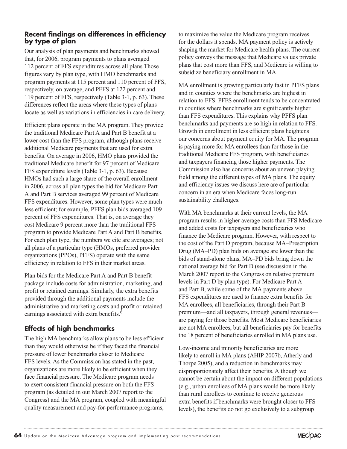#### **Recent findings on differences in efficiency by type of plan**

Our analysis of plan payments and benchmarks showed that, for 2006, program payments to plans averaged 112 percent of FFS expenditures across all plans.Those figures vary by plan type, with HMO benchmarks and program payments at 115 percent and 110 percent of FFS, respectively, on average, and PFFS at 122 percent and 119 percent of FFS, respectively (Table 3-1, p. 63). These differences reflect the areas where these types of plans locate as well as variations in efficiencies in care delivery.

Efficient plans operate in the MA program. They provide the traditional Medicare Part A and Part B benefit at a lower cost than the FFS program, although plans receive additional Medicare payments that are used for extra benefits. On average in 2006, HMO plans provided the traditional Medicare benefit for 97 percent of Medicare FFS expenditure levels (Table 3-1, p. 63). Because HMOs had such a large share of the overall enrollment in 2006, across all plan types the bid for Medicare Part A and Part B services averaged 99 percent of Medicare FFS expenditures. However, some plan types were much less efficient; for example, PFFS plan bids averaged 109 percent of FFS expenditures. That is, on average they cost Medicare 9 percent more than the traditional FFS program to provide Medicare Part A and Part B benefits. For each plan type, the numbers we cite are averages; not all plans of a particular type (HMOs, preferred provider organizations (PPOs), PFFS) operate with the same efficiency in relation to FFS in their market areas.

Plan bids for the Medicare Part A and Part B benefit package include costs for administration, marketing, and profit or retained earnings. Similarly, the extra benefits provided through the additional payments include the administrative and marketing costs and profit or retained earnings associated with extra benefits.<sup>6</sup>

# **Effects of high benchmarks**

The high MA benchmarks allow plans to be less efficient than they would otherwise be if they faced the financial pressure of lower benchmarks closer to Medicare FFS levels. As the Commission has stated in the past, organizations are more likely to be efficient when they face financial pressure. The Medicare program needs to exert consistent financial pressure on both the FFS program (as detailed in our March 2007 report to the Congress) and the MA program, coupled with meaningful quality measurement and pay-for-performance programs,

to maximize the value the Medicare program receives for the dollars it spends. MA payment policy is actively shaping the market for Medicare health plans. The current policy conveys the message that Medicare values private plans that cost more than FFS, and Medicare is willing to subsidize beneficiary enrollment in MA.

MA enrollment is growing particularly fast in PFFS plans and in counties where the benchmarks are highest in relation to FFS. PFFS enrollment tends to be concentrated in counties where benchmarks are significantly higher than FFS expenditures. This explains why PFFS plan benchmarks and payments are so high in relation to FFS. Growth in enrollment in less efficient plans heightens our concerns about payment equity for MA. The program is paying more for MA enrollees than for those in the traditional Medicare FFS program, with beneficiaries and taxpayers financing those higher payments. The Commission also has concerns about an uneven playing field among the different types of MA plans. The equity and efficiency issues we discuss here are of particular concern in an era when Medicare faces long-run sustainability challenges.

With MA benchmarks at their current levels, the MA program results in higher average costs than FFS Medicare and added costs for taxpayers and beneficiaries who finance the Medicare program. However, with respect to the cost of the Part D program, because MA–Prescription Drug (MA–PD) plan bids on average are lower than the bids of stand-alone plans, MA–PD bids bring down the national average bid for Part D (see discussion in the March 2007 report to the Congress on relative premium levels in Part D by plan type). For Medicare Part A and Part B, while some of the MA payments above FFS expenditures are used to finance extra benefits for MA enrollees, all beneficiaries, through their Part B premium—and all taxpayers, through general revenues are paying for those benefits. Most Medicare beneficiaries are not MA enrollees, but all beneficiaries pay for benefits the 18 percent of beneficiaries enrolled in MA plans use.

Low-income and minority beneficiaries are more likely to enroll in MA plans (AHIP 2007b, Atherly and Thorpe 2005), and a reduction in benchmarks may disproportionately affect their benefits. Although we cannot be certain about the impact on different populations (e.g., urban enrollees of MA plans would be more likely than rural enrollees to continue to receive generous extra benefits if benchmarks were brought closer to FFS levels), the benefits do not go exclusively to a subgroup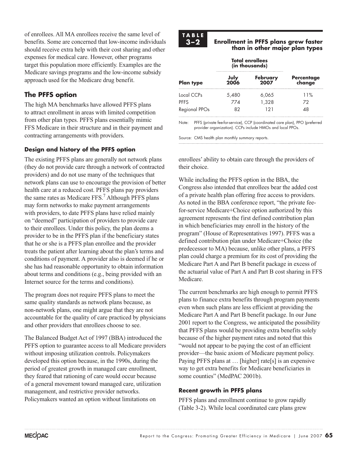of enrollees. All MA enrollees receive the same level of benefits. Some are concerned that low-income individuals should receive extra help with their cost sharing and other expenses for medical care. However, other programs target this population more efficiently. Examples are the Medicare savings programs and the low-income subsidy approach used for the Medicare drug benefit.

# **The PFFS option**

The high MA benchmarks have allowed PFFS plans to attract enrollment in areas with limited competition from other plan types. PFFS plans essentially mimic FFS Medicare in their structure and in their payment and contracting arrangements with providers.

#### **Design and history of the PFFS option**

The existing PFFS plans are generally not network plans (they do not provide care through a network of contracted providers) and do not use many of the techniques that network plans can use to encourage the provision of better health care at a reduced cost. PFFS plans pay providers the same rates as Medicare FFS.<sup>7</sup> Although PFFS plans may form networks to make payment arrangements with providers, to date PFFS plans have relied mainly on "deemed" participation of providers to provide care to their enrollees. Under this policy, the plan deems a provider to be in the PFFS plan if the beneficiary states that he or she is a PFFS plan enrollee and the provider treats the patient after learning about the plan's terms and conditions of payment. A provider also is deemed if he or she has had reasonable opportunity to obtain information about terms and conditions (e.g., being provided with an Internet source for the terms and conditions).

The program does not require PFFS plans to meet the same quality standards as network plans because, as non-network plans, one might argue that they are not accountable for the quality of care practiced by physicians and other providers that enrollees choose to see.

The Balanced Budget Act of 1997 (BBA) introduced the PFFS option to guarantee access to all Medicare providers without imposing utilization controls. Policymakers developed this option because, in the 1990s, during the period of greatest growth in managed care enrollment, they feared that rationing of care would occur because of a general movement toward managed care, utilization management, and restrictive provider networks. Policymakers wanted an option without limitations on



#### **3 –2 Enrollment in PFFS plans grew faster than in other major plan types**

|               |              | <b>Total enrollees</b><br>(in thousands) |                             |  |  |
|---------------|--------------|------------------------------------------|-----------------------------|--|--|
| Plan type     | July<br>2006 | February<br>2007                         | <b>Percentage</b><br>change |  |  |
| Local CCPs    | 5,480        | 6,065                                    | 11%                         |  |  |
| PFFS          | 774          | 1.328                                    | 72                          |  |  |
| Regional PPOs | 82           | 121                                      | 48                          |  |  |

Note: PFFS (private fee-for-service), CCP (coordinated care plan), PPO (preferred provider organization). CCPs include HMOs and local PPOs.

Source: CMS health plan monthly summary reports.

enrollees' ability to obtain care through the providers of their choice.

While including the PFFS option in the BBA, the Congress also intended that enrollees bear the added cost of a private health plan offering free access to providers. As noted in the BBA conference report, "the private feefor-service Medicare+Choice option authorized by this agreement represents the first defined contribution plan in which beneficiaries may enroll in the history of the program" (House of Representatives 1997). PFFS was a defined contribution plan under Medicare+Choice (the predecessor to MA) because, unlike other plans, a PFFS plan could charge a premium for its cost of providing the Medicare Part A and Part B benefit package in excess of the actuarial value of Part A and Part B cost sharing in FFS Medicare.

The current benchmarks are high enough to permit PFFS plans to finance extra benefits through program payments even when such plans are less efficient at providing the Medicare Part A and Part B benefit package. In our June 2001 report to the Congress, we anticipated the possibility that PFFS plans would be providing extra benefits solely because of the higher payment rates and noted that this "would not appear to be paying the cost of an efficient provider—the basic axiom of Medicare payment policy. Paying PFFS plans at ... [higher] rate[s] is an expensive way to get extra benefits for Medicare beneficiaries in some counties" (MedPAC 2001b).

#### **Recent growth in PFFS plans**

PFFS plans and enrollment continue to grow rapidly (Table 3-2). While local coordinated care plans grew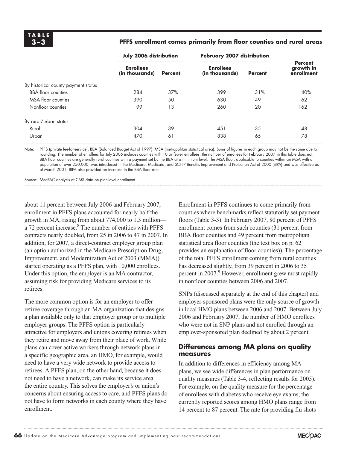#### **3 –3 PFFS enrollment comes primarily from floor counties and rural areas**

|                                     | July 2006 distribution             |                   | February 2007 distribution         |                |                                           |  |
|-------------------------------------|------------------------------------|-------------------|------------------------------------|----------------|-------------------------------------------|--|
|                                     | <b>Enrollees</b><br>(in thousands) | <b>Percent</b>    | <b>Enrollees</b><br>(in thousands) | <b>Percent</b> | <b>Percent</b><br>growth in<br>enrollment |  |
| By historical county payment status |                                    |                   |                                    |                |                                           |  |
| <b>BBA</b> floor counties           | 284                                | 37%               | 399                                | 31%            | 40%                                       |  |
| MSA floor counties                  | 390                                | 50                | 630<br>49                          |                | 62                                        |  |
| Nonfloor counties                   | 99                                 | 13                | 260<br>20                          |                | 162                                       |  |
| By rural/urban status               |                                    |                   |                                    |                |                                           |  |
| Rural                               | 304                                | 39                | 451                                | 35             | 48                                        |  |
| Urban                               | 470                                | $6^{\frac{1}{2}}$ | 838                                | 65             | 78                                        |  |

Note: PFFS (private fee-for-service), BBA (Balanced Budget Act of 1997), MSA (metropolitan statistical area). Sums of figures in each group may not be the same due to rounding. The number of enrollees for July 2006 includes counties with 10 or fewer enrollees; the number of enrollees for February 2007 in this table does not. BBA floor counties are generally rural counties with a payment set by the BBA at a minimum level. The MSA floor, applicable to counties within an MSA with a population of over 250,000, was introduced in the Medicare, Medicaid, and SCHIP Benefits Improvement and Protection Act of 2000 (BIPA) and was effective as of March 2001. BIPA also provided an increase in the BBA floor rate.

Source: MedPAC analysis of CMS data on plan-level enrollment.

about 11 percent between July 2006 and February 2007, enrollment in PFFS plans accounted for nearly half the growth in MA, rising from about 774,000 to 1.3 million a 72 percent increase.<sup>8</sup> The number of entities with PFFS contracts nearly doubled, from 25 in 2006 to 47 in 2007. In addition, for 2007, a direct-contract employer group plan (an option authorized in the Medicare Prescription Drug, Improvement, and Modernization Act of 2003 (MMA)) started operating as a PFFS plan, with 10,000 enrollees. Under this option, the employer is an MA contractor, assuming risk for providing Medicare services to its retirees.

The more common option is for an employer to offer retiree coverage through an MA organization that designs a plan available only to that employer group or to multiple employer groups. The PFFS option is particularly attractive for employers and unions covering retirees when they retire and move away from their place of work. While plans can cover active workers through network plans in a specific geographic area, an HMO, for example, would need to have a very wide network to provide access to retirees. A PFFS plan, on the other hand, because it does not need to have a network, can make its service area the entire country. This solves the employer's or union's concerns about ensuring access to care, and PFFS plans do not have to form networks in each county where they have enrollment.

Enrollment in PFFS continues to come primarily from counties where benchmarks reflect statutorily set payment floors (Table 3-3). In February 2007, 80 percent of PFFS enrollment comes from such counties (31 percent from BBA floor counties and 49 percent from metropolitan statistical area floor counties (the text box on p. 62 provides an explanation of floor counties)). The percentage of the total PFFS enrollment coming from rural counties has decreased slightly, from 39 percent in 2006 to 35 percent in 2007.<sup>9</sup> However, enrollment grew most rapidly in nonfloor counties between 2006 and 2007.

SNPs (discussed separately at the end of this chapter) and employer-sponsored plans were the only source of growth in local HMO plans between 2006 and 2007. Between July 2006 and February 2007, the number of HMO enrollees who were not in SNP plans and not enrolled through an employer-sponsored plan declined by about 2 percent.

#### **Differences among MA plans on quality measures**

In addition to differences in efficiency among MA plans, we see wide differences in plan performance on quality measures (Table 3-4, reflecting results for 2005). For example, on the quality measure for the percentage of enrollees with diabetes who receive eye exams, the currently reported scores among HMO plans range from 14 percent to 87 percent. The rate for providing flu shots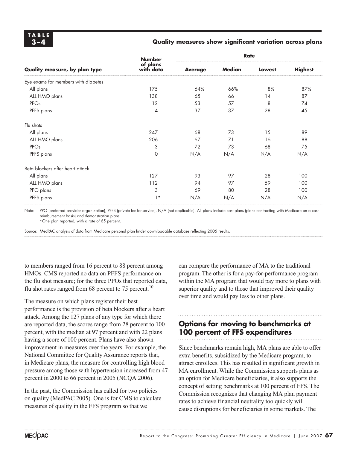#### **3 –4 Quality measures show significant variation across plans**

| Quality measure, by plan type       | <b>Number</b><br>of plans<br>with data | <b>Rate</b>    |               |        |                |  |
|-------------------------------------|----------------------------------------|----------------|---------------|--------|----------------|--|
|                                     |                                        | <b>Average</b> | <b>Median</b> | Lowest | <b>Highest</b> |  |
| Eye exams for members with diabetes |                                        |                |               |        |                |  |
| All plans                           | 175                                    | 64%            | 66%           | 8%     | 87%            |  |
| ALL HMO plans                       | 138                                    | 65             | 66            | 14     | 87             |  |
| PPOs                                | 12                                     | 53             | 57            | 8      | 74             |  |
| PFFS plans                          | 4                                      | 37             | 37            | 28     | 45             |  |
| Flu shots                           |                                        |                |               |        |                |  |
| All plans                           | 247                                    | 68             | 73            | 15     | 89             |  |
| ALL HMO plans                       | 206                                    | 67             | 71            | 16     | 88             |  |
| PPOs                                | 3                                      | 72             | 73            | 68     | 75             |  |
| PFFS plans                          | $\mathbf 0$                            | N/A            | N/A           | N/A    | N/A            |  |
| Beta blockers after heart attack    |                                        |                |               |        |                |  |
| All plans                           | 127                                    | 93             | 97            | 28     | 100            |  |
| ALL HMO plans                       | 112                                    | 94             | 97            | 59     | 100            |  |
| PPO plans                           | 3                                      | 69             | 80            | 28     | 100            |  |
| PFFS plans                          | $1*$                                   | N/A            | N/A           | N/A    | N/A            |  |

Note: PPO (preferred provider organization), PFFS (private fee-for-service), N/A (not applicable). All plans include cost plans (plans contracting with Medicare on a cost reimbursement basis) and demonstration plans.

\*One plan reported, with a rate of 65 percent.

Source: MedPAC analysis of data from Medicare personal plan finder downloadable database reflecting 2005 results.

to members ranged from 16 percent to 88 percent among HMOs. CMS reported no data on PFFS performance on the flu shot measure; for the three PPOs that reported data, flu shot rates ranged from 68 percent to 75 percent.<sup>10</sup>

The measure on which plans register their best performance is the provision of beta blockers after a heart attack. Among the 127 plans of any type for which there are reported data, the scores range from 28 percent to 100 percent, with the median at 97 percent and with 22 plans having a score of 100 percent. Plans have also shown improvement in measures over the years. For example, the National Committee for Quality Assurance reports that, in Medicare plans, the measure for controlling high blood pressure among those with hypertension increased from 47 percent in 2000 to 66 percent in 2005 (NCQA 2006).

In the past, the Commission has called for two policies on quality (MedPAC 2005). One is for CMS to calculate measures of quality in the FFS program so that we

can compare the performance of MA to the traditional program. The other is for a pay-for-performance program within the MA program that would pay more to plans with superior quality and to those that improved their quality over time and would pay less to other plans.

# **Options for moving to benchmarks at 100 percent of FFS expenditures**

Since benchmarks remain high, MA plans are able to offer extra benefits, subsidized by the Medicare program, to attract enrollees. This has resulted in significant growth in MA enrollment. While the Commission supports plans as an option for Medicare beneficiaries, it also supports the concept of setting benchmarks at 100 percent of FFS. The Commission recognizes that changing MA plan payment rates to achieve financial neutrality too quickly will cause disruptions for beneficiaries in some markets. The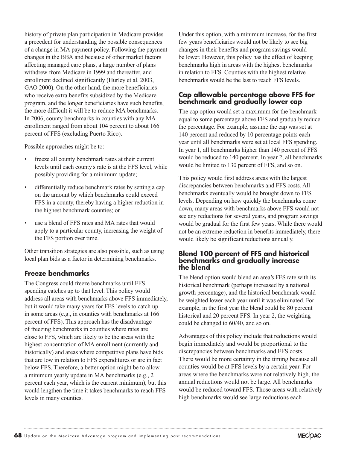history of private plan participation in Medicare provides a precedent for understanding the possible consequences of a change in MA payment policy. Following the payment changes in the BBA and because of other market factors affecting managed care plans, a large number of plans withdrew from Medicare in 1999 and thereafter, and enrollment declined significantly (Hurley et al. 2003, GAO 2000). On the other hand, the more beneficiaries who receive extra benefits subsidized by the Medicare program, and the longer beneficiaries have such benefits, the more difficult it will be to reduce MA benchmarks. In 2006, county benchmarks in counties with any MA enrollment ranged from about 104 percent to about 166 percent of FFS (excluding Puerto Rico).

Possible approaches might be to:

- freeze all county benchmark rates at their current levels until each county's rate is at the FFS level, while possibly providing for a minimum update;
- differentially reduce benchmark rates by setting a cap on the amount by which benchmarks could exceed FFS in a county, thereby having a higher reduction in the highest benchmark counties; or
- use a blend of FFS rates and MA rates that would apply to a particular county, increasing the weight of the FFS portion over time.

Other transition strategies are also possible, such as using local plan bids as a factor in determining benchmarks.

#### **Freeze benchmarks**

The Congress could freeze benchmarks until FFS spending catches up to that level. This policy would address all areas with benchmarks above FFS immediately, but it would take many years for FFS levels to catch up in some areas (e.g., in counties with benchmarks at 166 percent of FFS). This approach has the disadvantage of freezing benchmarks in counties where rates are close to FFS, which are likely to be the areas with the highest concentration of MA enrollment (currently and historically) and areas where competitive plans have bids that are low in relation to FFS expenditures or are in fact below FFS. Therefore, a better option might be to allow a minimum yearly update in MA benchmarks (e.g., 2 percent each year, which is the current minimum), but this would lengthen the time it takes benchmarks to reach FFS levels in many counties.

Under this option, with a minimum increase, for the first few years beneficiaries would not be likely to see big changes in their benefits and program savings would be lower. However, this policy has the effect of keeping benchmarks high in areas with the highest benchmarks in relation to FFS. Counties with the highest relative benchmarks would be the last to reach FFS levels.

#### **Cap allowable percentage above FFS for benchmark and gradually lower cap**

The cap option would set a maximum for the benchmark equal to some percentage above FFS and gradually reduce the percentage. For example, assume the cap was set at 140 percent and reduced by 10 percentage points each year until all benchmarks were set at local FFS spending. In year 1, all benchmarks higher than 140 percent of FFS would be reduced to 140 percent. In year 2, all benchmarks would be limited to 130 percent of FFS, and so on.

This policy would first address areas with the largest discrepancies between benchmarks and FFS costs. All benchmarks eventually would be brought down to FFS levels. Depending on how quickly the benchmarks come down, many areas with benchmarks above FFS would not see any reductions for several years, and program savings would be gradual for the first few years. While there would not be an extreme reduction in benefits immediately, there would likely be significant reductions annually.

#### **Blend 100 percent of FFS and historical benchmarks and gradually increase the blend**

The blend option would blend an area's FFS rate with its historical benchmark (perhaps increased by a national growth percentage), and the historical benchmark would be weighted lower each year until it was eliminated. For example, in the first year the blend could be 80 percent historical and 20 percent FFS. In year 2, the weighting could be changed to 60/40, and so on.

Advantages of this policy include that reductions would begin immediately and would be proportional to the discrepancies between benchmarks and FFS costs. There would be more certainty in the timing because all counties would be at FFS levels by a certain year. For areas where the benchmarks were not relatively high, the annual reductions would not be large. All benchmarks would be reduced toward FFS. Those areas with relatively high benchmarks would see large reductions each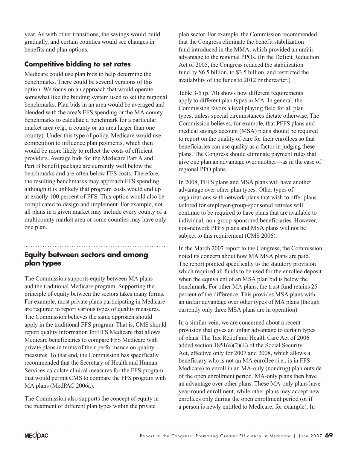year. As with other transitions, the savings would build gradually, and certain counties would see changes in benefits and plan options.

# **Competitive bidding to set rates**

Medicare could use plan bids to help determine the benchmarks. There could be several versions of this option. We focus on an approach that would operate somewhat like the bidding system used to set the regional benchmarks. Plan bids in an area would be averaged and blended with the area's FFS spending or the MA county benchmarks to calculate a benchmark for a particular market area (e.g., a county or an area larger than one county). Under this type of policy, Medicare would use competition to influence plan payments, which then would be more likely to reflect the costs of efficient providers. Average bids for the Medicare Part A and Part B benefit package are currently well below the benchmarks and are often below FFS costs. Therefore, the resulting benchmarks may approach FFS spending, although it is unlikely that program costs would end up at exactly 100 percent of FFS. This option would also be complicated to design and implement. For example, not all plans in a given market may include every county of a multicounty market area or some counties may have only one plan.

# **Equity between sectors and among plan types**

The Commission supports equity between MA plans and the traditional Medicare program. Supporting the principle of equity between the sectors takes many forms. For example, most private plans participating in Medicare are required to report various types of quality measures. The Commission believes the same approach should apply in the traditional FFS program. That is, CMS should report quality information for FFS Medicare that allows Medicare beneficiaries to compare FFS Medicare with private plans in terms of their performance on quality measures. To that end, the Commission has specifically recommended that the Secretary of Health and Human Services calculate clinical measures for the FFS program that would permit CMS to compare the FFS program with MA plans (MedPAC 2006a).

The Commission also supports the concept of equity in the treatment of different plan types within the private

plan sector. For example, the Commission recommended that the Congress eliminate the benefit stabilization fund introduced in the MMA, which provided an unfair advantage to the regional PPOs. (In the Deficit Reduction Act of 2005, the Congress reduced the stabilization fund by \$6.5 billion, to \$3.5 billion, and restricted the availability of the funds to 2012 or thereafter.)

Table 3-5 (p. 70) shows how different requirements apply to different plan types in MA. In general, the Commission favors a level playing field for all plan types, unless special circumstances dictate otherwise. The Commission believes, for example, that PFFS plans and medical savings account (MSA) plans should be required to report on the quality of care for their enrollees so that beneficiaries can use quality as a factor in judging these plans. The Congress should eliminate payment rules that give one plan an advantage over another—as in the case of regional PPO plans.

In 2008, PFFS plans and MSA plans will have another advantage over other plan types. Other types of organizations with network plans that wish to offer plans tailored for employer-group-sponsored retirees will continue to be required to have plans that are available to individual, non-group-sponsored beneficiaries. However, non-network PFFS plans and MSA plans will not be subject to this requirement (CMS 2006).

In the March 2007 report to the Congress, the Commission noted its concern about how MA MSA plans are paid. The report pointed specifically to the statutory provision which required all funds to be used for the enrollee deposit when the equivalent of an MSA plan bid is below the benchmark. For other MA plans, the trust fund retains 25 percent of the difference. This provides MSA plans with an unfair advantage over other types of MA plans (though currently only three MSA plans are in operation).

In a similar vein, we are concerned about a recent provision that gives an unfair advantage to certain types of plans. The Tax Relief and Health Care Act of 2006 added section  $1851(e)(2)(E)$  of the Social Security Act, effective only for 2007 and 2008, which allows a beneficiary who is not an MA enrollee (i.e., is in FFS Medicare) to enroll in an MA-only (nondrug) plan outside of the open enrollment period. MA-only plans then have an advantage over other plans. These MA-only plans have year-round enrollment, while other plans may accept new enrollees only during the open enrollment period (or if a person is newly entitled to Medicare, for example). In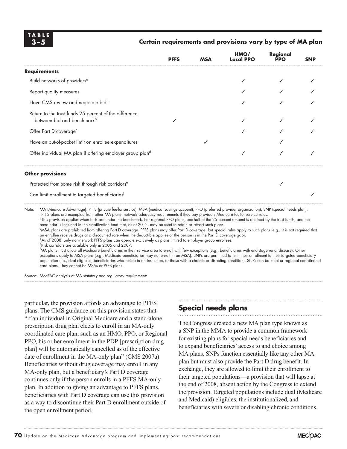#### **3 –5 Certain requirements and provisions vary by type of MA plan**

|                                                                                                  | <b>PFFS</b> | <b>MSA</b> | HMO/<br>Local PPO | Regional<br><b>PPO</b> | <b>SNP</b> |
|--------------------------------------------------------------------------------------------------|-------------|------------|-------------------|------------------------|------------|
| Requirements                                                                                     |             |            |                   |                        |            |
| Build networks of providers <sup>a</sup>                                                         |             |            |                   |                        |            |
| Report quality measures                                                                          |             |            |                   |                        |            |
| Have CMS review and negotiate bids                                                               |             |            |                   |                        |            |
| Return to the trust funds 25 percent of the difference<br>between bid and benchmark <sup>b</sup> |             |            |                   |                        |            |
| Offer Part D coverage <sup>c</sup>                                                               |             |            |                   |                        |            |
| Have an out-of-pocket limit on enrollee expenditures                                             |             |            |                   |                        |            |
| Offer individual MA plan if offering employer group pland                                        |             |            |                   |                        |            |
|                                                                                                  |             |            |                   |                        |            |

#### **Other provisions**

Protected from some risk through risk corridors<sup>e</sup>

Can limit enrollment to targeted beneficiaries<sup>f</sup>

Note: MA (Medicare Advantage), PFFS (private fee-for-service), MSA (medical savings account), PPO (preferred provider organization), SNP (special needs plan). aPFFS plans are exempted from other MA plans' network adequacy requirements if they pay providers Medicare fee-for-service rates.

<sup>b</sup>This provision applies when bids are under the benchmark. For regional PPO plans, one-half of the 25 percent amount is retained by the trust funds, and the remainder is included in the stabilization fund that, as of 2012, may be used to retain or attract such plans.

c MSA plans are prohibited from offering Part D coverage. PFFS plans may offer Part D coverage, but special rules apply to such plans (e.g., it is not required that an enrollee receive drugs at a discounted rate when the deductible applies or the person is in the Part D coverage gap).

dAs of 2008, only non-network PFFS plans can operate exclusively as plans limited to employer group enrollees.

 eRisk corridors are available only in 2006 and 2007. f MA plans must allow all Medicare beneficiaries in their service area to enroll with few exceptions (e.g., beneficiaries with end-stage renal disease). Other exceptions apply to MSA plans (e.g., Medicaid beneficiaries may not enroll in an MSA). SNPs are permitted to limit their enrollment to their targeted beneficiary population (i.e., dual eligibles, beneficiaries who reside in an institution, or those with a chronic or disabling condition). SNPs can be local or regional coordinated care plans. They cannot be MSAs or PFFS plans.

Source: MedPAC analysis of MA statutory and regulatory requirements.

particular, the provision affords an advantage to PFFS plans. The CMS guidance on this provision states that "if an individual in Original Medicare and a stand-alone prescription drug plan elects to enroll in an MA-only coordinated care plan, such as an HMO, PPO, or Regional PPO, his or her enrollment in the PDP [prescription drug plan] will be automatically cancelled as of the effective date of enrollment in the MA-only plan" (CMS 2007a). Beneficiaries without drug coverage may enroll in any MA-only plan, but a beneficiary's Part D coverage continues only if the person enrolls in a PFFS MA-only plan. In addition to giving an advantage to PFFS plans, beneficiaries with Part D coverage can use this provision as a way to discontinue their Part D enrollment outside of the open enrollment period.

# **Special needs plans**

The Congress created a new MA plan type known as a SNP in the MMA to provide a common framework for existing plans for special needs beneficiaries and to expand beneficiaries' access to and choice among MA plans. SNPs function essentially like any other MA plan but must also provide the Part D drug benefit. In exchange, they are allowed to limit their enrollment to their targeted populations—a provision that will lapse at the end of 2008, absent action by the Congress to extend the provision. Targeted populations include dual (Medicare and Medicaid) eligibles, the institutionalized, and beneficiaries with severe or disabling chronic conditions.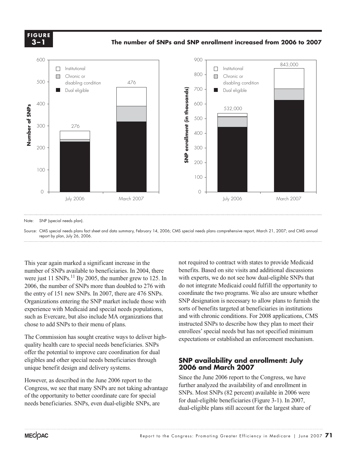**The number of SNPs and SNP enrollment increased from 2006 to 2007 FIGURE 3–1 3 –1F i g ure**

**The number of SNPs and SNP enrollment increased from 2006 to 2007**



Note: SNP (special needs plan).

Source: CMS special needs plans fact sheet and data summary, February 14, 2006; CMS special needs plans comprehensive report, March 21, 2007; and CMS annual report by plan, July 26, 2006.

This year again marked a significant increase in the number of SNPs available to beneficiaries. In 2004, there were just 11  $SNPs$ <sup>11</sup> By 2005, the number grew to 125. In 2006, the number of SNPs more than doubled to 276 with the entry of 151 new SNPs. In 2007, there are 476 SNPs. Organizations entering the SNP market include those with experience with Medicaid and special needs populations, such as Evercare, but also include MA organizations that chose to add SNPs to their menu of plans.

The Commission has sought creative ways to deliver highquality health care to special needs beneficiaries. SNPs offer the potential to improve care coordination for dual eligibles and other special needs beneficiaries through unique benefit design and delivery systems.

However, as described in the June 2006 report to the Congress, we see that many SNPs are not taking advantage of the opportunity to better coordinate care for special needs beneficiaries. SNPs, even dual-eligible SNPs, are

not required to contract with states to provide Medicaid benefits. Based on site visits and additional discussions with experts, we do not see how dual-eligible SNPs that do not integrate Medicaid could fulfill the opportunity to coordinate the two programs. We also are unsure whether SNP designation is necessary to allow plans to furnish the sorts of benefits targeted at beneficiaries in institutions and with chronic conditions. For 2008 applications, CMS instructed SNPs to describe how they plan to meet their enrollees' special needs but has not specified minimum expectations or established an enforcement mechanism.

#### **SNP availability and enrollment: July 2006 and March 2007**

Since the June 2006 report to the Congress, we have further analyzed the availability of and enrollment in SNPs. Most SNPs (82 percent) available in 2006 were for dual-eligible beneficiaries (Figure 3-1). In 2007, dual-eligible plans still account for the largest share of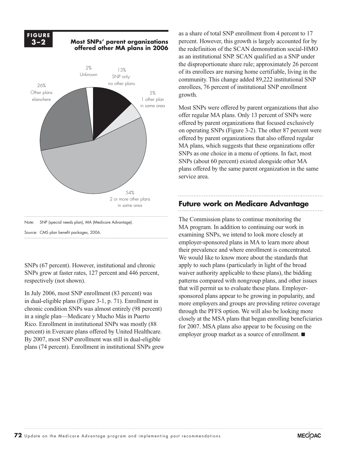

SNPs (67 percent). However, institutional and chronic SNPs grew at faster rates, 127 percent and 446 percent, respectively (not shown).

In July 2006, most SNP enrollment (83 percent) was in dual-eligible plans (Figure 3-1, p. 71). Enrollment in chronic condition SNPs was almost entirely (98 percent) in a single plan—Medicare y Mucho Más in Puerto Rico. Enrollment in institutional SNPs was mostly (88 percent) in Evercare plans offered by United Healthcare. By 2007, most SNP enrollment was still in dual-eligible plans (74 percent). Enrollment in institutional SNPs grew as a share of total SNP enrollment from 4 percent to 17 percent. However, this growth is largely accounted for by the redefinition of the SCAN demonstration social-HMO as an institutional SNP. SCAN qualified as a SNP under the disproportionate share rule; approximately 26 percent of its enrollees are nursing home certifiable, living in the community. This change added 89,222 institutional SNP enrollees, 76 percent of institutional SNP enrollment growth.

Most SNPs were offered by parent organizations that also offer regular MA plans. Only 13 percent of SNPs were offered by parent organizations that focused exclusively on operating SNPs (Figure 3-2). The other 87 percent were offered by parent organizations that also offered regular MA plans, which suggests that these organizations offer SNPs as one choice in a menu of options. In fact, most SNPs (about 60 percent) existed alongside other MA plans offered by the same parent organization in the same service area.

#### **Future work on Medicare Advantage**

The Commission plans to continue monitoring the MA program. In addition to continuing our work in examining SNPs, we intend to look more closely at employer-sponsored plans in MA to learn more about their prevalence and where enrollment is concentrated. We would like to know more about the standards that apply to such plans (particularly in light of the broad waiver authority applicable to these plans), the bidding patterns compared with nongroup plans, and other issues that will permit us to evaluate these plans. Employersponsored plans appear to be growing in popularity, and more employers and groups are providing retiree coverage through the PFFS option. We will also be looking more closely at the MSA plans that began enrolling beneficiaries for 2007. MSA plans also appear to be focusing on the employer group market as a source of enrollment.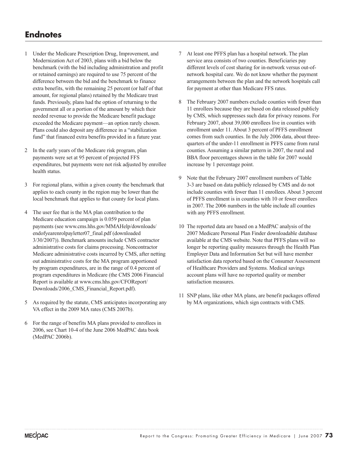- 1 Under the Medicare Prescription Drug, Improvement, and Modernization Act of 2003, plans with a bid below the benchmark (with the bid including administration and profit or retained earnings) are required to use 75 percent of the difference between the bid and the benchmark to finance extra benefits, with the remaining 25 percent (or half of that amount, for regional plans) retained by the Medicare trust funds. Previously, plans had the option of returning to the government all or a portion of the amount by which their needed revenue to provide the Medicare benefit package exceeded the Medicare payment—an option rarely chosen. Plans could also deposit any difference in a "stabilization fund" that financed extra benefits provided in a future year.
- 2 In the early years of the Medicare risk program, plan payments were set at 95 percent of projected FFS expenditures, but payments were not risk adjusted by enrollee health status.
- 3 For regional plans, within a given county the benchmark that applies to each county in the region may be lower than the local benchmark that applies to that county for local plans.
- 4 The user fee that is the MA plan contribution to the Medicare education campaign is 0.059 percent of plan payments (see www.cms.hhs.gov/MMAHelp/downloads/ endofyearenrolpayletter07\_final.pdf (downloaded 3/30/2007)). Benchmark amounts include CMS contractor administrative costs for claims processing. Noncontractor Medicare administrative costs incurred by CMS, after netting out administrative costs for the MA program apportioned by program expenditures, are in the range of 0.4 percent of program expenditures in Medicare (the CMS 2006 Financial Report is available at www.cms.hhs.gov/CFOReport/ Downloads/2006\_CMS\_Financial\_Report.pdf).
- 5 As required by the statute, CMS anticipates incorporating any VA effect in the 2009 MA rates (CMS 2007b).
- 6 For the range of benefits MA plans provided to enrollees in 2006, see Chart 10-4 of the June 2006 MedPAC data book (MedPAC 2006b).
- 7 At least one PFFS plan has a hospital network. The plan service area consists of two counties. Beneficiaries pay different levels of cost sharing for in-network versus out-ofnetwork hospital care. We do not know whether the payment arrangements between the plan and the network hospitals call for payment at other than Medicare FFS rates.
- 8 The February 2007 numbers exclude counties with fewer than 11 enrollees because they are based on data released publicly by CMS, which suppresses such data for privacy reasons. For February 2007, about 39,000 enrollees live in counties with enrollment under 11. About 3 percent of PFFS enrollment comes from such counties. In the July 2006 data, about threequarters of the under-11 enrollment in PFFS came from rural counties. Assuming a similar pattern in 2007, the rural and BBA floor percentages shown in the table for 2007 would increase by 1 percentage point.
- 9 Note that the February 2007 enrollment numbers of Table 3-3 are based on data publicly released by CMS and do not include counties with fewer than 11 enrollees. About 3 percent of PFFS enrollment is in counties with 10 or fewer enrollees in 2007. The 2006 numbers in the table include all counties with any PFFS enrollment.
- 10 The reported data are based on a MedPAC analysis of the 2007 Medicare Personal Plan Finder downloadable database available at the CMS website. Note that PFFS plans will no longer be reporting quality measures through the Health Plan Employer Data and Information Set but will have member satisfaction data reported based on the Consumer Assessment of Healthcare Providers and Systems. Medical savings account plans will have no reported quality or member satisfaction measures.
- 11 SNP plans, like other MA plans, are benefit packages offered by MA organizations, which sign contracts with CMS.